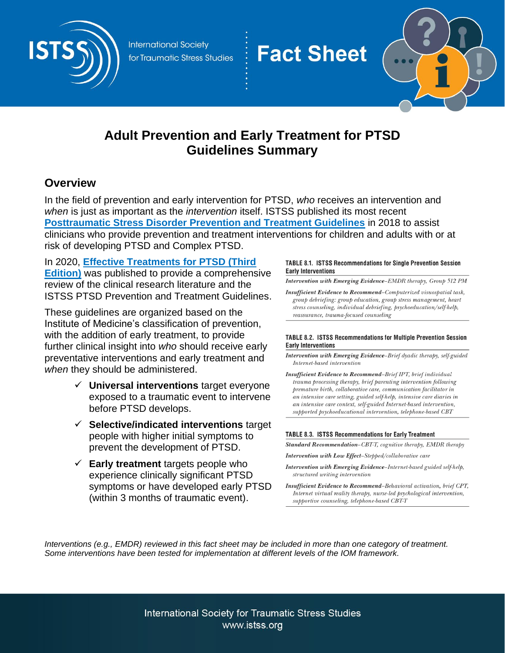

**International Society** for Traumatic Stress Studies



# **Adult Prevention and Early Treatment for PTSD Guidelines Summary**

**Fact Sheet** 

# **Overview**

In the field of prevention and early intervention for PTSD, *who* receives an intervention and *when* is just as important as the *intervention* itself. ISTSS published its most recent **[Posttraumatic Stress Disorder Prevention and Treatment Guidelines](https://istss.org/clinical-resources/treating-trauma/new-istss-prevention-and-treatment-guidelines)** in 2018 to assist clinicians who provide prevention and treatment interventions for children and adults with or at risk of developing PTSD and Complex PTSD.

# In 2020, **[Effective Treatments for PTSD \(Third](https://istss.org/clinical-resources/treating-trauma/new-istss-prevention-and-treatment-guidelines#book)**

**[Edition\)](https://istss.org/clinical-resources/treating-trauma/new-istss-prevention-and-treatment-guidelines#book)** was published to provide a comprehensive review of the clinical research literature and the ISTSS PTSD Prevention and Treatment Guidelines.

These guidelines are organized based on the Institute of Medicine's classification of prevention, with the addition of early treatment, to provide further clinical insight into *who* should receive early preventative interventions and early treatment and *when* they should be administered.

- ✓ **Universal interventions** target everyone exposed to a traumatic event to intervene before PTSD develops.
- ✓ **Selective/indicated interventions** target people with higher initial symptoms to prevent the development of PTSD.
- ✓ **Early treatment** targets people who experience clinically significant PTSD symptoms or have developed early PTSD (within 3 months of traumatic event).

#### TABLE 8.1. ISTSS Recommendations for Single Prevention Session **Early Interventions**

Intervention with Emerging Evidence-EMDR therapy, Group 512 PM

**Insufficient Evidence to Recommend-Computerized visuospatial task,** group debriefing: group education, group stress management, heart stress counseling, individual debriefing, psychoeducation/self-help, reassurance, trauma-focused counseling

#### TABLE 8.2. ISTSS Recommendations for Multiple Prevention Session **Early Interventions**

- Intervention with Emerging Evidence-Brief dyadic therapy, self-guided Internet-based intervention
- Insufficient Evidence to Recommend-Brief IPT, brief individual trauma processing therapy, brief parenting intervention following premature birth, collaborative care, communication facilitator in an intensive care setting, guided self-help, intensive care diaries in an intensive care context, self-guided Internet-based intervention, supported psychoeducational intervention, telephone-based CBT

### TABLE 8.3. ISTSS Recommendations for Early Treatment

Standard Recommendation-CBT-T, cognitive therapy, EMDR therapy

Intervention with Low Effect-Stepped/collaborative care

- Intervention with Emerging Evidence-Internet-based guided self-help, structured writing intervention
- Insufficient Evidence to Recommend-Behavioral activation, brief CPT, Internet virtual reality therapy, nurse-led psychological intervention, supportive counseling, telephone-based CBT-T

*Interventions (e.g., EMDR) reviewed in this fact sheet may be included in more than one category of treatment. Some interventions have been tested for implementation at different levels of the IOM framework.*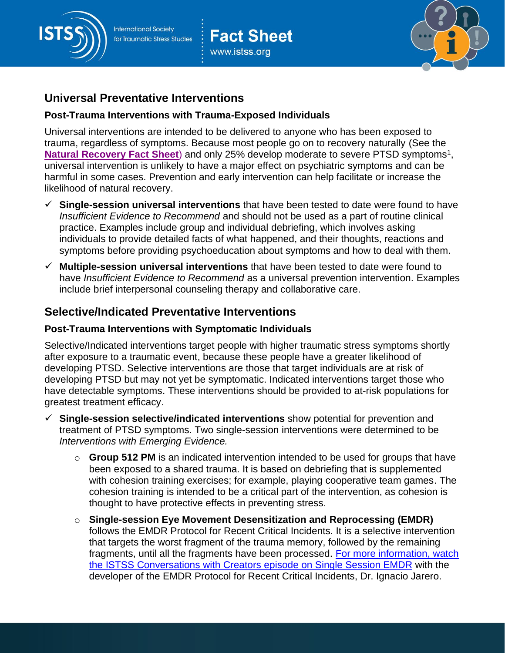

# **Fact Sheet** www.istss.org



# **Universal Preventative Interventions**

## **Post-Trauma Interventions with Trauma-Exposed Individuals**

Universal interventions are intended to be delivered to anyone who has been exposed to trauma, regardless of symptoms. Because most people go on to recovery naturally (See the [Natural Recovery Fact Sheet](https://istss.org/public-resources/natural-recovery-vs-ptsd)) and only 25% develop moderate to severe PTSD symptoms<sup>1</sup>, universal intervention is unlikely to have a major effect on psychiatric symptoms and can be harmful in some cases. Prevention and early intervention can help facilitate or increase the likelihood of natural recovery.

- ✓ **Single-session universal interventions** that have been tested to date were found to have *Insufficient Evidence to Recommend* and should not be used as a part of routine clinical practice. Examples include group and individual debriefing, which involves asking individuals to provide detailed facts of what happened, and their thoughts, reactions and symptoms before providing psychoeducation about symptoms and how to deal with them.
- ✓ **Multiple-session universal interventions** that have been tested to date were found to have *Insufficient Evidence to Recommend* as a universal prevention intervention. Examples include brief interpersonal counseling therapy and collaborative care.

# **Selective/Indicated Preventative Interventions**

### **Post-Trauma Interventions with Symptomatic Individuals**

Selective/Indicated interventions target people with higher traumatic stress symptoms shortly after exposure to a traumatic event, because these people have a greater likelihood of developing PTSD. Selective interventions are those that target individuals are at risk of developing PTSD but may not yet be symptomatic. Indicated interventions target those who have detectable symptoms. These interventions should be provided to at-risk populations for greatest treatment efficacy.

- ✓ **Single-session selective/indicated interventions** show potential for prevention and treatment of PTSD symptoms. Two single-session interventions were determined to be *Interventions with Emerging Evidence.*
	- o **Group 512 PM** is an indicated intervention intended to be used for groups that have been exposed to a shared trauma. It is based on debriefing that is supplemented with cohesion training exercises; for example, playing cooperative team games. The cohesion training is intended to be a critical part of the intervention, as cohesion is thought to have protective effects in preventing stress.
	- o **Single-session Eye Movement Desensitization and Reprocessing (EMDR)** follows the EMDR Protocol for Recent Critical Incidents. It is a selective intervention that targets the worst fragment of the trauma memory, followed by the remaining fragments, until all the fragments have been processed. [For more information, watch](https://youtu.be/JN36bwN-sP0) the ISTSS [Conversations with Creators episode on Single Session EMDR](https://youtu.be/JN36bwN-sP0) with the developer of the EMDR Protocol for Recent Critical Incidents, Dr. Ignacio Jarero.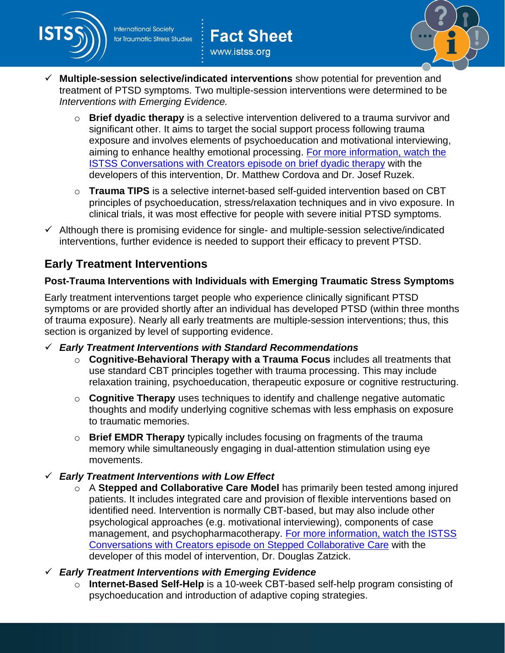

**Fact Sheet** www.istss.org



- ✓ **Multiple-session selective/indicated interventions** show potential for prevention and treatment of PTSD symptoms. Two multiple-session interventions were determined to be *Interventions with Emerging Evidence.*
	- o **Brief dyadic therapy** is a selective intervention delivered to a trauma survivor and significant other. It aims to target the social support process following trauma exposure and involves elements of psychoeducation and motivational interviewing, aiming to enhance healthy emotional processing. [For more information, watch](https://youtu.be/Jm1p6728_MQ) the ISTSS [Conversations with Creators episode on brief dyadic therapy](https://youtu.be/Jm1p6728_MQ) with the developers of this intervention, Dr. Matthew Cordova and Dr. Josef Ruzek.
	- o **Trauma TIPS** is a selective internet-based self-guided intervention based on CBT principles of psychoeducation, stress/relaxation techniques and in vivo exposure. In clinical trials, it was most effective for people with severe initial PTSD symptoms.
- $\checkmark$  Although there is promising evidence for single- and multiple-session selective/indicated interventions, further evidence is needed to support their efficacy to prevent PTSD.

# **Early Treatment Interventions**

## **Post-Trauma Interventions with Individuals with Emerging Traumatic Stress Symptoms**

Early treatment interventions target people who experience clinically significant PTSD symptoms or are provided shortly after an individual has developed PTSD (within three months of trauma exposure). Nearly all early treatments are multiple-session interventions; thus, this section is organized by level of supporting evidence.

- ✓ *Early Treatment Interventions with Standard Recommendations*
	- o **Cognitive-Behavioral Therapy with a Trauma Focus** includes all treatments that use standard CBT principles together with trauma processing. This may include relaxation training, psychoeducation, therapeutic exposure or cognitive restructuring.
	- o **Cognitive Therapy** uses techniques to identify and challenge negative automatic thoughts and modify underlying cognitive schemas with less emphasis on exposure to traumatic memories.
	- o **Brief EMDR Therapy** typically includes focusing on fragments of the trauma memory while simultaneously engaging in dual-attention stimulation using eye movements.
- ✓ *Early Treatment Interventions with Low Effect* 
	- o A **Stepped and Collaborative Care Model** has primarily been tested among injured patients. It includes integrated care and provision of flexible interventions based on identified need. Intervention is normally CBT-based, but may also include other psychological approaches (e.g. motivational interviewing), components of case management, and psychopharmacotherapy. [For more information, watch](https://youtu.be/7ssXZmtnYvM) the ISTSS [Conversations with Creators episode on Stepped Collaborative Care](https://youtu.be/7ssXZmtnYvM) with the developer of this model of intervention, Dr. Douglas Zatzick.
- ✓ *Early Treatment Interventions with Emerging Evidence*
	- o **Internet-Based Self-Help** is a 10-week CBT-based self-help program consisting of psychoeducation and introduction of adaptive coping strategies.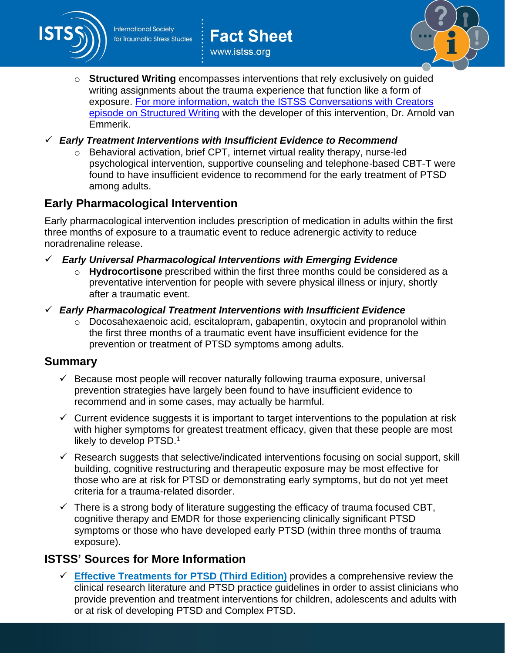

**Fact Sheet** www.istss.org



- o **Structured Writing** encompasses interventions that rely exclusively on guided writing assignments about the trauma experience that function like a form of exposure. For more information, watch the ISTSS [Conversations with Creators](https://youtu.be/lTAjUS42zw4)  [episode on Structured Writing](https://youtu.be/lTAjUS42zw4) with the developer of this intervention, Dr. Arnold van Emmerik.
- ✓ *Early Treatment Interventions with Insufficient Evidence to Recommend*
	- o Behavioral activation, brief CPT, internet virtual reality therapy, nurse-led psychological intervention, supportive counseling and telephone-based CBT-T were found to have insufficient evidence to recommend for the early treatment of PTSD among adults.

# **Early Pharmacological Intervention**

Early pharmacological intervention includes prescription of medication in adults within the first three months of exposure to a traumatic event to reduce adrenergic activity to reduce noradrenaline release.

- ✓ *Early Universal Pharmacological Interventions with Emerging Evidence*
	- o **Hydrocortisone** prescribed within the first three months could be considered as a preventative intervention for people with severe physical illness or injury, shortly after a traumatic event.
- ✓ *Early Pharmacological Treatment Interventions with Insufficient Evidence* 
	- o Docosahexaenoic acid, escitalopram, gabapentin, oxytocin and propranolol within the first three months of a traumatic event have insufficient evidence for the prevention or treatment of PTSD symptoms among adults.

### **Summary**

- $\checkmark$  Because most people will recover naturally following trauma exposure, universal prevention strategies have largely been found to have insufficient evidence to recommend and in some cases, may actually be harmful.
- $\checkmark$  Current evidence suggests it is important to target interventions to the population at risk with higher symptoms for greatest treatment efficacy, given that these people are most likely to develop PTSD.<sup>1</sup>
- $\checkmark$  Research suggests that selective/indicated interventions focusing on social support, skill building, cognitive restructuring and therapeutic exposure may be most effective for those who are at risk for PTSD or demonstrating early symptoms, but do not yet meet criteria for a trauma-related disorder.
- $\checkmark$  There is a strong body of literature suggesting the efficacy of trauma focused CBT, cognitive therapy and EMDR for those experiencing clinically significant PTSD symptoms or those who have developed early PTSD (within three months of trauma exposure).

# **ISTSS' Sources for More Information**

✓ **[Effective Treatments for PTSD](https://istss.org/clinical-resources/treating-trauma/new-istss-prevention-and-treatment-guidelines#book) (Third Edition)** provides a comprehensive review the clinical research literature and PTSD practice guidelines in order to assist clinicians who provide prevention and treatment interventions for children, adolescents and adults with or at risk of developing PTSD and Complex PTSD.